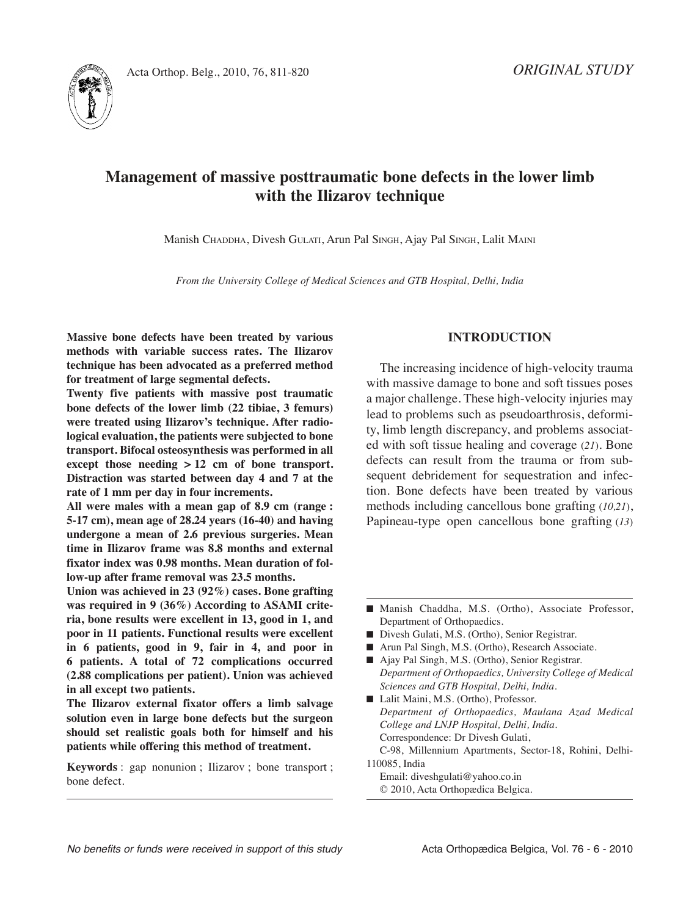



# **Management of massive posttraumatic bone defects in the lower limb with the Ilizarov technique**

Manish ChADDhA, Divesh GuLAtI, Arun Pal SInGh, Ajay Pal SInGh, Lalit MAInI

*From the University College of Medical Sciences and GTB Hospital, Delhi, India*

**Massive bone defects have been treated by various methods with variable success rates. The Ilizarov technique has been advocated as a preferred method for treatment of large segmental defects.**

**Twenty five patients with massive post traumatic bone defects of the lower limb (22 tibiae, 3 femurs) were treated using Ilizarov's technique. After radiological evaluation, the patients were subjected to bone transport. Bifocal osteosynthesis was performed in all except those needing > 12 cm of bone transport. Distraction was started between day 4 and 7 at the rate of 1 mm per day in four increments.**

**All were males with a mean gap of 8.9 cm (range : 5-17 cm), mean age of 28.24 years (16-40) and having undergone a mean of 2.6 previous surgeries. Mean time in Ilizarov frame was 8.8 months and external fixator index was 0.98 months. Mean duration of follow-up after frame removal was 23.5 months.**

**Union was achieved in 23 (92%) cases. Bone grafting was required in 9 (36%) According to ASAMI criteria, bone results were excellent in 13, good in 1, and poor in 11 patients. Functional results were excellent in 6 patients, good in 9, fair in 4, and poor in 6 patients. A total of 72 complications occurred (2.88 complications per patient). Union was achieved in all except two patients.**

**The Ilizarov external fixator offers a limb salvage solution even in large bone defects but the surgeon should set realistic goals both for himself and his patients while offering this method of treatment.**

**Keywords** : gap nonunion ; Ilizarov ; bone transport ; bone defect.

## **INTRODUCTION**

The increasing incidence of high-velocity trauma with massive damage to bone and soft tissues poses a major challenge. These high-velocity injuries may lead to problems such as pseudoarthrosis, deformity, limb length discrepancy, and problems associated with soft tissue healing and coverage (*21*). Bone defects can result from the trauma or from subsequent debridement for sequestration and infection. Bone defects have been treated by various methods including cancellous bone grafting (*10,21*), Papineau-type open cancellous bone grafting (*13*)

- Arun Pal Singh, M.S. (Ortho), Research Associate.
- Ajay Pal Singh, M.S. (Ortho), Senior Registrar. *Department of Orthopaedics, University College of Medical Sciences and GTB Hospital, Delhi, India.*
- Lalit Maini, M.S. (Ortho), Professor. *Department of Orthopaedics, Maulana Azad Medical College and LNJP Hospital, Delhi, India.* Correspondence: Dr Divesh Gulati, C-98, Millennium Apartments, Sector-18, Rohini, Delhi-110085, India
	- Email: diveshgulati@yahoo.co.in © 2010, Acta Orthopædica Belgica.

<sup>■</sup> Manish Chaddha, M.S. (Ortho), Associate Professor, Department of Orthopaedics.

<sup>■</sup> Divesh Gulati, M.S. (Ortho), Senior Registrar.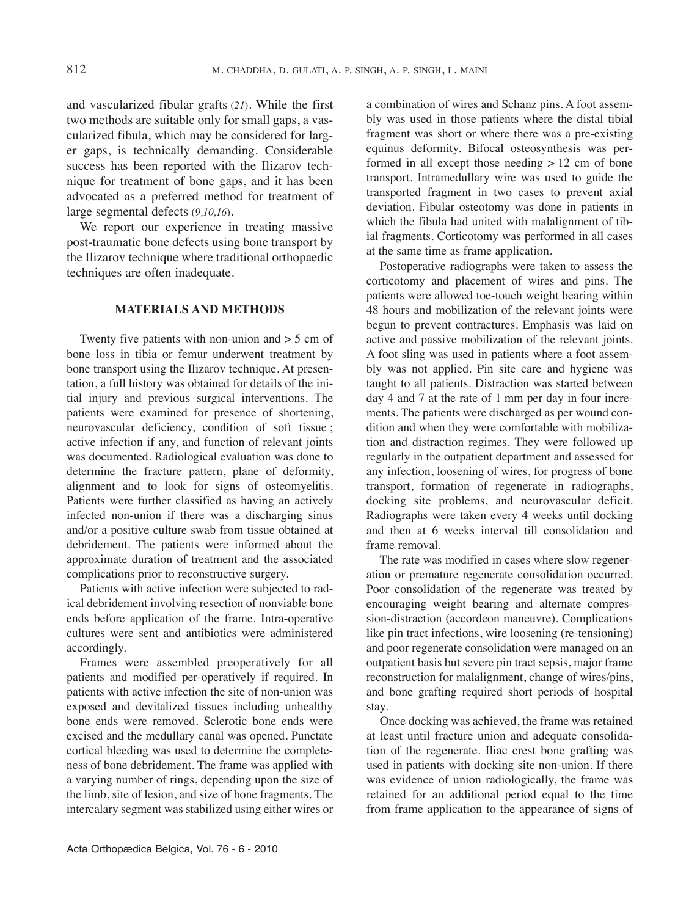and vascularized fibular grafts (*21*). While the first two methods are suitable only for small gaps, a vascularized fibula, which may be considered for larger gaps, is technically demanding. Considerable success has been reported with the Ilizarov technique for treatment of bone gaps, and it has been advocated as a preferred method for treatment of large segmental defects (*9,10,16*).

We report our experience in treating massive post-traumatic bone defects using bone transport by the Ilizarov technique where traditional orthopaedic techniques are often inadequate.

## **MATERIALS AND METHODS**

Twenty five patients with non-union and  $>$  5 cm of bone loss in tibia or femur underwent treatment by bone transport using the Ilizarov technique. At presentation, a full history was obtained for details of the initial injury and previous surgical interventions. The patients were examined for presence of shortening, neurovascular deficiency, condition of soft tissue ; active infection if any, and function of relevant joints was documented. Radiological evaluation was done to determine the fracture pattern, plane of deformity, alignment and to look for signs of osteomyelitis. Patients were further classified as having an actively infected non-union if there was a discharging sinus and/or a positive culture swab from tissue obtained at debridement. The patients were informed about the approximate duration of treatment and the associated complications prior to reconstructive surgery.

Patients with active infection were subjected to radical debridement involving resection of nonviable bone ends before application of the frame. Intra-operative cultures were sent and antibiotics were administered accordingly.

Frames were assembled preoperatively for all patients and modified per-operatively if required. In patients with active infection the site of non-union was exposed and devitalized tissues including unhealthy bone ends were removed. Sclerotic bone ends were excised and the medullary canal was opened. Punctate cortical bleeding was used to determine the completeness of bone debridement. The frame was applied with a varying number of rings, depending upon the size of the limb, site of lesion, and size of bone fragments. The intercalary segment was stabilized using either wires or a combination of wires and Schanz pins. A foot assembly was used in those patients where the distal tibial fragment was short or where there was a pre-existing equinus deformity. Bifocal osteosynthesis was performed in all except those needing > 12 cm of bone transport. Intramedullary wire was used to guide the transported fragment in two cases to prevent axial deviation. Fibular osteotomy was done in patients in which the fibula had united with malalignment of tibial fragments. Corticotomy was performed in all cases at the same time as frame application.

Postoperative radiographs were taken to assess the corticotomy and placement of wires and pins. The patients were allowed toe-touch weight bearing within 48 hours and mobilization of the relevant joints were begun to prevent contractures. Emphasis was laid on active and passive mobilization of the relevant joints. A foot sling was used in patients where a foot assembly was not applied. Pin site care and hygiene was taught to all patients. Distraction was started between day 4 and 7 at the rate of 1 mm per day in four increments. The patients were discharged as per wound condition and when they were comfortable with mobilization and distraction regimes. They were followed up regularly in the outpatient department and assessed for any infection, loosening of wires, for progress of bone transport, formation of regenerate in radiographs, docking site problems, and neurovascular deficit. Radiographs were taken every 4 weeks until docking and then at 6 weeks interval till consolidation and frame removal.

The rate was modified in cases where slow regeneration or premature regenerate consolidation occurred. Poor consolidation of the regenerate was treated by encouraging weight bearing and alternate compression-distraction (accordeon maneuvre). Complications like pin tract infections, wire loosening (re-tensioning) and poor regenerate consolidation were managed on an outpatient basis but severe pin tract sepsis, major frame reconstruction for malalignment, change of wires/pins, and bone grafting required short periods of hospital stay.

Once docking was achieved, the frame was retained at least until fracture union and adequate consolidation of the regenerate. Iliac crest bone grafting was used in patients with docking site non-union. If there was evidence of union radiologically, the frame was retained for an additional period equal to the time from frame application to the appearance of signs of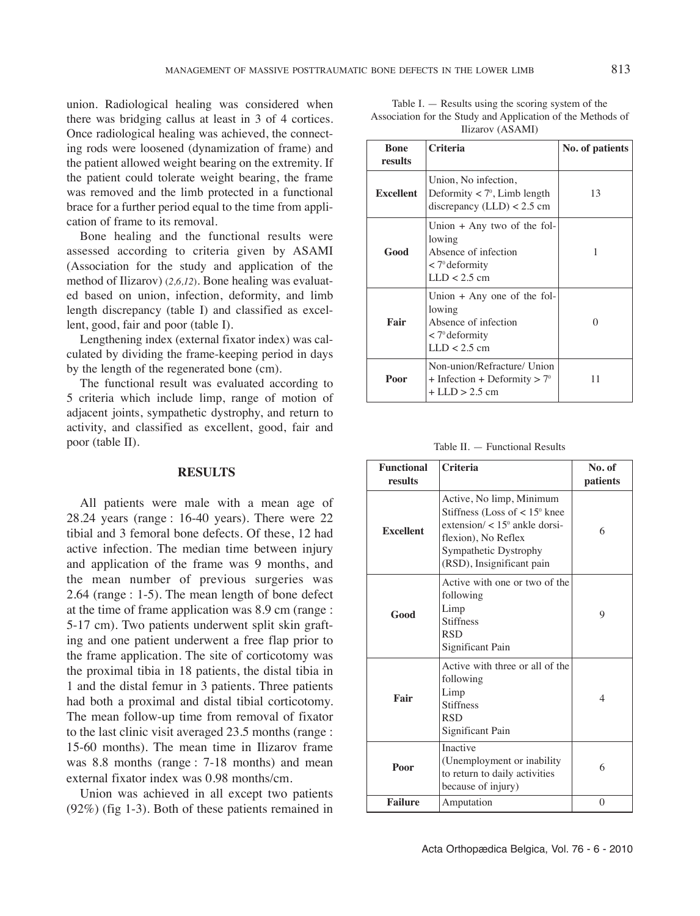union. Radiological healing was considered when there was bridging callus at least in 3 of 4 cortices. Once radiological healing was achieved, the connecting rods were loosened (dynamization of frame) and the patient allowed weight bearing on the extremity. If the patient could tolerate weight bearing, the frame was removed and the limb protected in a functional brace for a further period equal to the time from application of frame to its removal.

Bone healing and the functional results were assessed according to criteria given by ASAMI (Association for the study and application of the method of Ilizarov) (*2,6,12*). Bone healing was evaluated based on union, infection, deformity, and limb length discrepancy (table I) and classified as excellent, good, fair and poor (table I).

Lengthening index (external fixator index) was calculated by dividing the frame-keeping period in days by the length of the regenerated bone (cm).

The functional result was evaluated according to 5 criteria which include limp, range of motion of adjacent joints, sympathetic dystrophy, and return to activity, and classified as excellent, good, fair and poor (table II).

#### **RESULTS**

All patients were male with a mean age of  $28.24$  years (range : 16-40 years). There were  $22$ tibial and 3 femoral bone defects. Of these, 12 had active infection. The median time between injury and application of the frame was 9 months, and the mean number of previous surgeries was  $2.64$  (range : 1-5). The mean length of bone defect at the time of frame application was 8.9 cm (range : 5-17 cm). Two patients underwent split skin grafting and one patient underwent a free flap prior to the frame application. The site of corticotomy was the proximal tibia in 18 patients, the distal tibia in 1 and the distal femur in 3 patients. Three patients had both a proximal and distal tibial corticotomy. The mean follow-up time from removal of fixator to the last clinic visit averaged 23.5 months (range : 15-60 months). The mean time in Ilizarov frame was 8.8 months (range : 7-18 months) and mean external fixator index was 0.98 months/cm.

Union was achieved in all except two patients (92%) (fig 1-3). Both of these patients remained in

| Table I. $-$ Results using the scoring system of the        |
|-------------------------------------------------------------|
| Association for the Study and Application of the Methods of |
| Ilizarov (ASAMI)                                            |

| <b>Bone</b><br>results | <b>Criteria</b>                                                                                                  | No. of patients |
|------------------------|------------------------------------------------------------------------------------------------------------------|-----------------|
| <b>Excellent</b>       | Union, No infection,<br>Deformity $\langle 7^\circ, \text{Limb length} \rangle$<br>discrepancy $(LLD) < 2.5$ cm  | 13              |
| Good                   | Union $+$ Any two of the fol-<br>lowing<br>Absence of infection<br>$\langle 7^\circ$ deformity<br>$LLD < 2.5$ cm | 1               |
| Fair                   | Union $+$ Any one of the fol-<br>lowing<br>Absence of infection<br>$\langle 7^\circ$ deformity<br>$LLD < 2.5$ cm | 0               |
| Poor                   | Non-union/Refracture/ Union<br>$+$ Infection + Deformity $> 7^\circ$<br>$+$ LLD $>$ 2.5 cm                       | 11              |

Table II.  $-$  Functional Results

| <b>Functional</b><br>results | <b>Criteria</b>                                                                                                                                                                              | No. of<br>patients |
|------------------------------|----------------------------------------------------------------------------------------------------------------------------------------------------------------------------------------------|--------------------|
| <b>Excellent</b>             | Active, No limp, Minimum<br>Stiffness (Loss of $< 15$ <sup>o</sup> knee<br>extension/ $< 15^\circ$ ankle dorsi-<br>flexion), No Reflex<br>Sympathetic Dystrophy<br>(RSD), Insignificant pain | 6                  |
| Good                         | Active with one or two of the<br>following<br>Limp<br><b>Stiffness</b><br><b>RSD</b><br>Significant Pain                                                                                     | 9                  |
| Fair                         | Active with three or all of the<br>following<br>Limp<br><b>Stiffness</b><br><b>RSD</b><br>Significant Pain                                                                                   | $\overline{4}$     |
| Poor                         | Inactive<br>(Unemployment or inability)<br>to return to daily activities<br>because of injury)                                                                                               | 6                  |
| <b>Failure</b>               | Amputation                                                                                                                                                                                   | $\theta$           |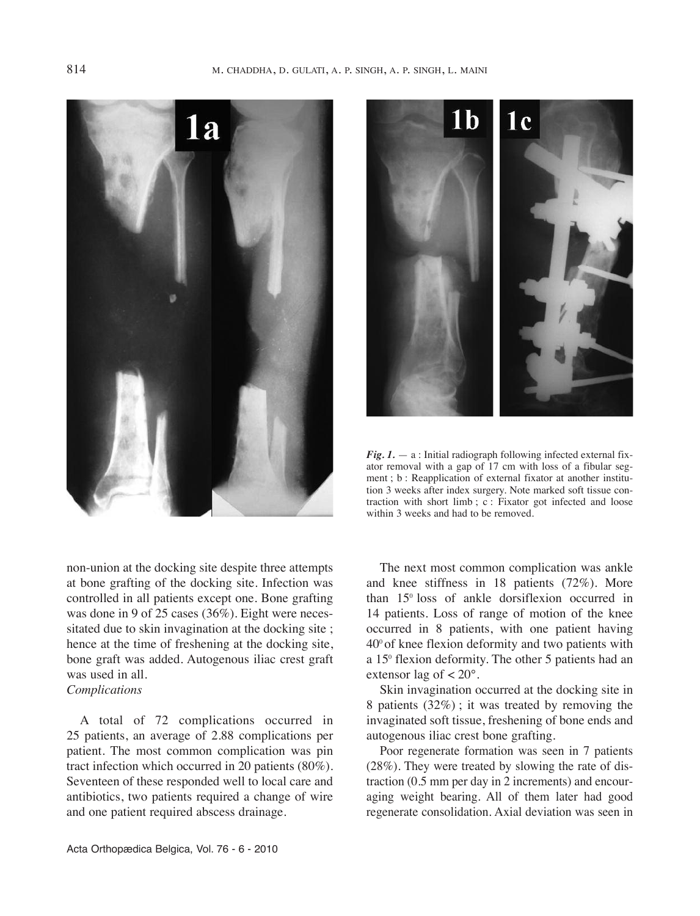



*Fig. 1.* — a : Initial radiograph following infected external fixator removal with a gap of 17 cm with loss of a fibular segment ; b : Reapplication of external fixator at another institution 3 weeks after index surgery. Note marked soft tissue contraction with short limb ; c : Fixator got infected and loose within 3 weeks and had to be removed.

non-union at the docking site despite three attempts at bone grafting of the docking site. Infection was controlled in all patients except one. Bone grafting was done in 9 of 25 cases (36%). Eight were necessitated due to skin invagination at the docking site ; hence at the time of freshening at the docking site, bone graft was added. Autogenous iliac crest graft was used in all. *Complications*

A total of 72 complications occurred in 25 patients, an average of 2.88 complications per patient. The most common complication was pin tract infection which occurred in 20 patients (80%). Seventeen of these responded well to local care and antibiotics, two patients required a change of wire and one patient required abscess drainage.

The next most common complication was ankle and knee stiffness in 18 patients (72%). More than 150 loss of ankle dorsiflexion occurred in 14 patients. Loss of range of motion of the knee occurred in 8 patients, with one patient having  $40^{\circ}$  of knee flexion deformity and two patients with a 15<sup>°</sup> flexion deformity. The other 5 patients had an extensor lag of  $\lt 20^\circ$ .

Skin invagination occurred at the docking site in 8 patients (32%) ; it was treated by removing the invaginated soft tissue, freshening of bone ends and autogenous iliac crest bone grafting.

Poor regenerate formation was seen in 7 patients  $(28\%)$ . They were treated by slowing the rate of distraction (0.5 mm per day in 2 increments) and encouraging weight bearing. All of them later had good regenerate consolidation. Axial deviation was seen in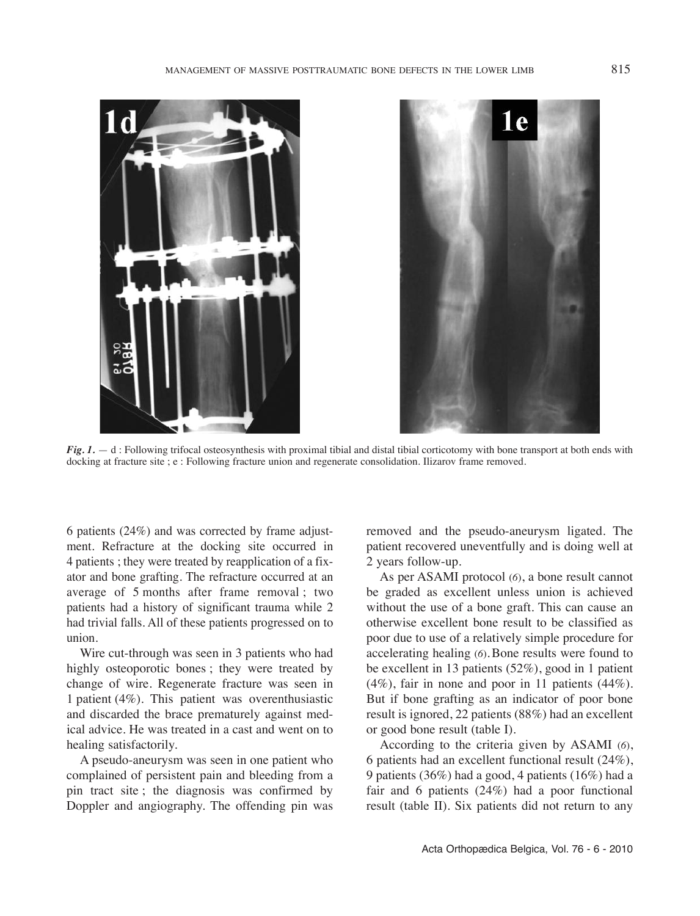



*Fig. 1.*  $- d$ : Following trifocal osteosynthesis with proximal tibial and distal tibial corticotomy with bone transport at both ends with docking at fracture site ; e : Following fracture union and regenerate consolidation. Ilizarov frame removed.

6 patients (24%) and was corrected by frame adjustment. Refracture at the docking site occurred in 4 patients ; they were treated by reapplication of a fixator and bone grafting. The refracture occurred at an average of 5 months after frame removal ; two patients had a history of significant trauma while 2 had trivial falls. All of these patients progressed on to union.

Wire cut-through was seen in 3 patients who had highly osteoporotic bones ; they were treated by change of wire. Regenerate fracture was seen in 1 patient  $(4\%)$ . This patient was overenthusiastic and discarded the brace prematurely against medical advice. he was treated in a cast and went on to healing satisfactorily.

A pseudo-aneurysm was seen in one patient who complained of persistent pain and bleeding from a pin tract site ; the diagnosis was confirmed by Doppler and angiography. The offending pin was

removed and the pseudo-aneurysm ligated. The patient recovered uneventfully and is doing well at 2 years follow-up.

As per ASAMI protocol (*6*), a bone result cannot be graded as excellent unless union is achieved without the use of a bone graft. This can cause an otherwise excellent bone result to be classified as poor due to use of a relatively simple procedure for accelerating healing (*6*)*.*Bone results were found to be excellent in 13 patients (52%), good in 1 patient (4%), fair in none and poor in 11 patients (44%). But if bone grafting as an indicator of poor bone result is ignored, 22 patients (88%) had an excellent or good bone result (table I).

According to the criteria given by ASAMI (*6*), 6 patients had an excellent functional result (24%), 9 patients (36%) had a good, 4 patients (16%) had a fair and 6 patients (24%) had a poor functional result (table II). Six patients did not return to any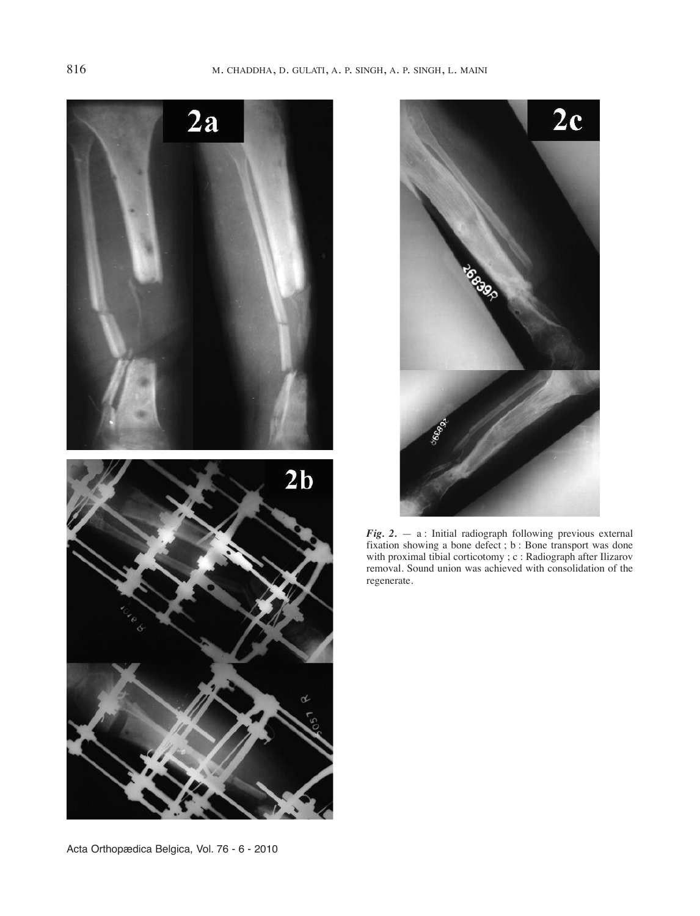



*Fig. 2.* — a : Initial radiograph following previous external fixation showing a bone defect ; b : Bone transport was done with proximal tibial corticotomy ; c : Radiograph after Ilizarov removal. Sound union was achieved with consolidation of the regenerate.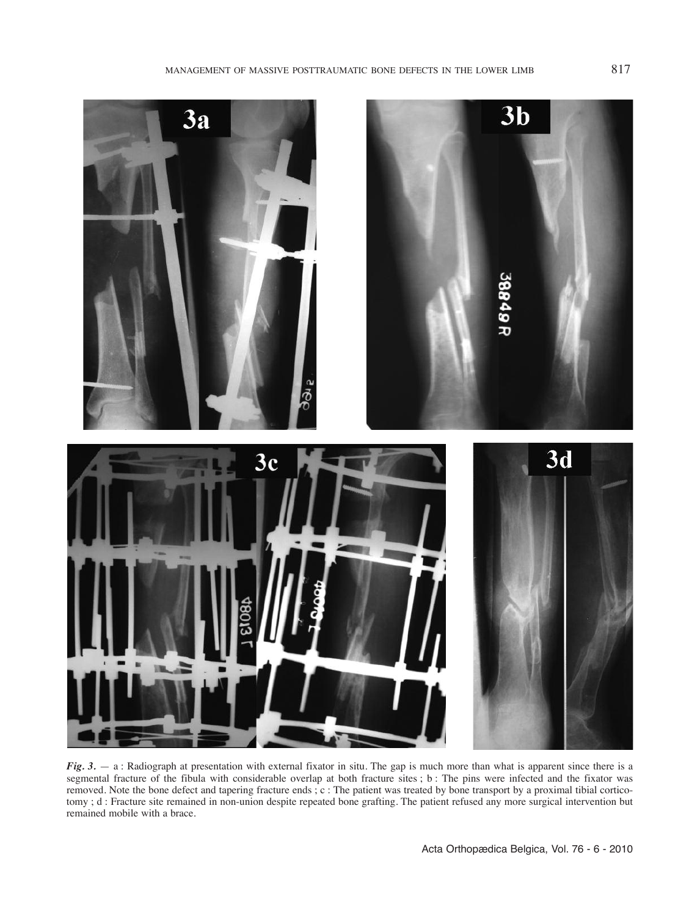

*Fig.* 3. — a: Radiograph at presentation with external fixator in situ. The gap is much more than what is apparent since there is a segmental fracture of the fibula with considerable overlap at both fracture sites ; b : The pins were infected and the fixator was removed. Note the bone defect and tapering fracture ends ; c : The patient was treated by bone transport by a proximal tibial corticotomy ; d : Fracture site remained in non-union despite repeated bone grafting. The patient refused any more surgical intervention but remained mobile with a brace.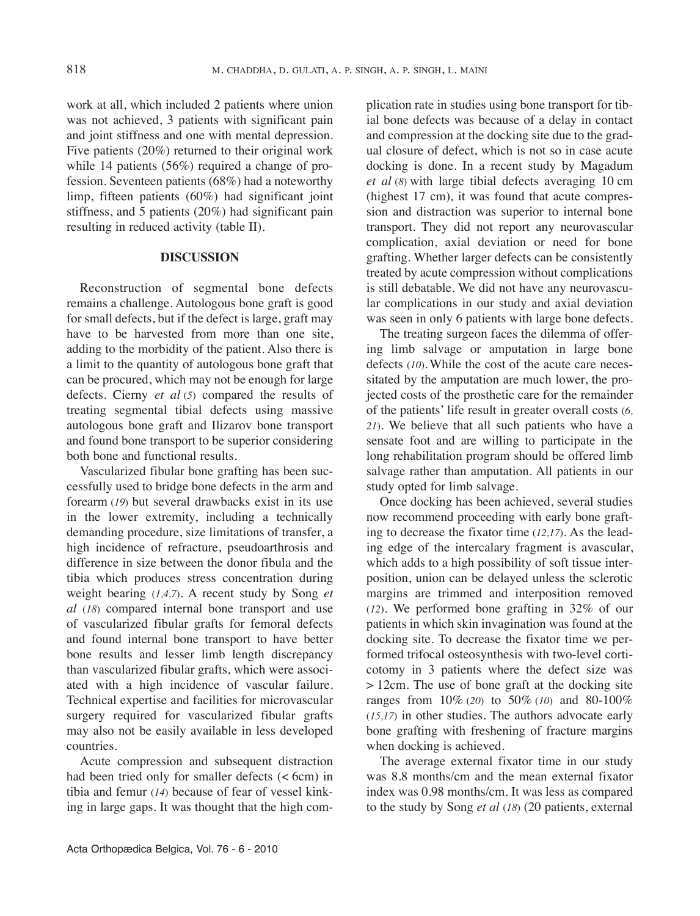work at all, which included 2 patients where union was not achieved, 3 patients with significant pain and joint stiffness and one with mental depression. Five patients (20%) returned to their original work while 14 patients (56%) required a change of profession. Seventeen patients (68%) had a noteworthy limp, fifteen patients (60%) had significant joint stiffness, and 5 patients (20%) had significant pain resulting in reduced activity (table II).

## **DISCUSSION**

Reconstruction of segmental bone defects remains a challenge. Autologous bone graft is good for small defects, but if the defect is large, graft may have to be harvested from more than one site, adding to the morbidity of the patient. Also there is a limit to the quantity of autologous bone graft that can be procured, which may not be enough for large defects. Cierny *et al* (*5*) compared the results of treating segmental tibial defects using massive autologous bone graft and Ilizarov bone transport and found bone transport to be superior considering both bone and functional results.

vascularized fibular bone grafting has been successfully used to bridge bone defects in the arm and forearm (*19*) but several drawbacks exist in its use in the lower extremity, including a technically demanding procedure, size limitations of transfer, a high incidence of refracture, pseudoarthrosis and difference in size between the donor fibula and the tibia which produces stress concentration during weight bearing (*1,4,7*). A recent study by Song *et al* (*18*) compared internal bone transport and use of vascularized fibular grafts for femoral defects and found internal bone transport to have better bone results and lesser limb length discrepancy than vascularized fibular grafts, which were associated with a high incidence of vascular failure. Technical expertise and facilities for microvascular surgery required for vascularized fibular grafts may also not be easily available in less developed countries.

Acute compression and subsequent distraction had been tried only for smaller defects (< 6cm) in tibia and femur (*14*) because of fear of vessel kinking in large gaps. It was thought that the high complication rate in studies using bone transport for tibial bone defects was because of a delay in contact and compression at the docking site due to the gradual closure of defect, which is not so in case acute docking is done. In a recent study by Magadum *et al* (*8*) with large tibial defects averaging 10 cm (highest 17 cm)*,* it was found that acute compression and distraction was superior to internal bone transport. They did not report any neurovascular complication, axial deviation or need for bone grafting. Whether larger defects can be consistently treated by acute compression without complications is still debatable. We did not have any neurovascular complications in our study and axial deviation was seen in only 6 patients with large bone defects.

The treating surgeon faces the dilemma of offering limb salvage or amputation in large bone defects (*10*).While the cost of the acute care necessitated by the amputation are much lower, the projected costs of the prosthetic care for the remainder of the patients' life result in greater overall costs (*6, 21*). We believe that all such patients who have a sensate foot and are willing to participate in the long rehabilitation program should be offered limb salvage rather than amputation. All patients in our study opted for limb salvage.

Once docking has been achieved, several studies now recommend proceeding with early bone grafting to decrease the fixator time (*12,17*). As the leading edge of the intercalary fragment is avascular, which adds to a high possibility of soft tissue interposition, union can be delayed unless the sclerotic margins are trimmed and interposition removed (*12*). We performed bone grafting in 32% of our patients in which skin invagination was found at the docking site. To decrease the fixator time we performed trifocal osteosynthesis with two-level corticotomy in 3 patients where the defect size was  $> 12$ cm. The use of bone graft at the docking site ranges from 10% (*20*) to 50% (*10*) and 80-100%  $(15,17)$  in other studies. The authors advocate early bone grafting with freshening of fracture margins when docking is achieved.

The average external fixator time in our study was 8.8 months/cm and the mean external fixator index was 0.98 months/cm. It was less as compared to the study by Song *et al* (*18*) (20 patients, external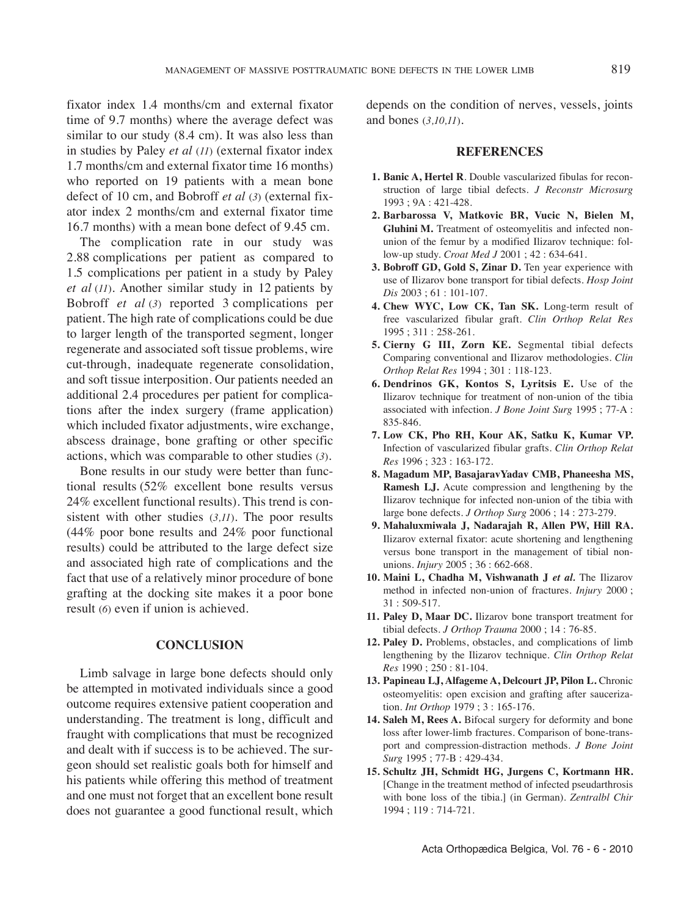fixator index 1.4 months/cm and external fixator time of 9.7 months) where the average defect was similar to our study (8.4 cm). It was also less than in studies by Paley *et al* (*11*) (external fixator index 1.7 months/cm and external fixator time 16 months) who reported on 19 patients with a mean bone defect of 10 cm, and Bobroff *et al* (*3*) (external fixator index 2 months/cm and external fixator time 16.7 months) with a mean bone defect of 9.45 cm.

The complication rate in our study was 2.88 complications per patient as compared to 1.5 complications per patient in a study by Paley *et al* (*11*). Another similar study in 12 patients by Bobroff *et al* (*3*) reported 3 complications per patient. The high rate of complications could be due to larger length of the transported segment, longer regenerate and associated soft tissue problems, wire cut-through, inadequate regenerate consolidation, and soft tissue interposition. Our patients needed an additional 2.4 procedures per patient for complications after the index surgery (frame application) which included fixator adjustments, wire exchange, abscess drainage, bone grafting or other specific actions, which was comparable to other studies (*3*).

Bone results in our study were better than functional results (52% excellent bone results versus 24% excellent functional results). This trend is consistent with other studies  $(3,11)$ . The poor results (44% poor bone results and 24% poor functional results) could be attributed to the large defect size and associated high rate of complications and the fact that use of a relatively minor procedure of bone grafting at the docking site makes it a poor bone result (*6*) even if union is achieved.

## **CONCLUSION**

Limb salvage in large bone defects should only be attempted in motivated individuals since a good outcome requires extensive patient cooperation and understanding. The treatment is long, difficult and fraught with complications that must be recognized and dealt with if success is to be achieved. The surgeon should set realistic goals both for himself and his patients while offering this method of treatment and one must not forget that an excellent bone result does not guarantee a good functional result, which

depends on the condition of nerves, vessels, joints and bones (*3,10,11*).

#### **REFERENCES**

- **1. Banic A, Hertel R**. Double vascularized fibulas for reconstruction of large tibial defects. *J Reconstr Microsurg* 1993 ; 9A : 421-428.
- **2. Barbarossa V, Matkovic BR, Vucic N, Bielen M, Gluhini M.** Treatment of osteomyelitis and infected nonunion of the femur by a modified Ilizarov technique: follow-up study. *Croat Med J* 2001 ; 42 : 634-641.
- **3. Bobroff GD, Gold S, Zinar D.** ten year experience with use of Ilizarov bone transport for tibial defects. *Hosp Joint Dis* 2003 ; 61 : 101-107.
- **4. Chew WYC, Low CK, Tan SK.** Long-term result of free vascularized fibular graft. *Clin Orthop Relat Res* 1995 ; 311 : 258-261.
- **5. Cierny G III, Zorn KE.** Segmental tibial defects Comparing conventional and Ilizarov methodologies. *Clin Orthop Relat Res* 1994 ; 301 : 118-123.
- **6. Dendrinos GK, Kontos S, Lyritsis E.** use of the Ilizarov technique for treatment of non-union of the tibia associated with infection. *J Bone Joint Surg* 1995 ; 77-A : 835-846.
- **7. Low CK, Pho RH, Kour AK, Satku K, Kumar VP.** Infection of vascularized fibular grafts. *Clin Orthop Relat Res* 1996 ; 323 : 163-172.
- **8. Magadum MP, BasajaravYadav CMB, Phaneesha MS, Ramesh LJ.** Acute compression and lengthening by the Ilizarov technique for infected non-union of the tibia with large bone defects. *J Orthop Surg* 2006 ; 14 : 273-279.
- **9. Mahaluxmiwala J, Nadarajah R, Allen PW, Hill RA.** Ilizarov external fixator: acute shortening and lengthening versus bone transport in the management of tibial nonunions. *Injury* 2005 ; 36 : 662-668.
- **10. Maini L, Chadha M, Vishwanath J** *et al.* the Ilizarov method in infected non-union of fractures. *Injury* 2000 ; 31 : 509-517.
- **11. Paley D, Maar DC.** Ilizarov bone transport treatment for tibial defects. *J Orthop Trauma* 2000 ; 14 : 76-85.
- **12. Paley D.** Problems, obstacles, and complications of limb lengthening by the Ilizarov technique. *Clin Orthop Relat Res* 1990 ; 250 : 81-104.
- **13. Papineau LJ, Alfageme A, Delcourt JP, Pilon L.** Chronic osteomyelitis: open excision and grafting after saucerization. *Int Orthop* 1979 ; 3 : 165-176.
- **14. Saleh M, Rees A.** Bifocal surgery for deformity and bone loss after lower-limb fractures. Comparison of bone-transport and compression-distraction methods. *J Bone Joint Surg* 1995 ; 77-B : 429-434.
- **15. Schultz JH, Schmidt HG, Jurgens C, Kortmann HR.** [Change in the treatment method of infected pseudarthrosis with bone loss of the tibia.] (in German). *Zentralbl Chir* 1994 ; 119 : 714-721.